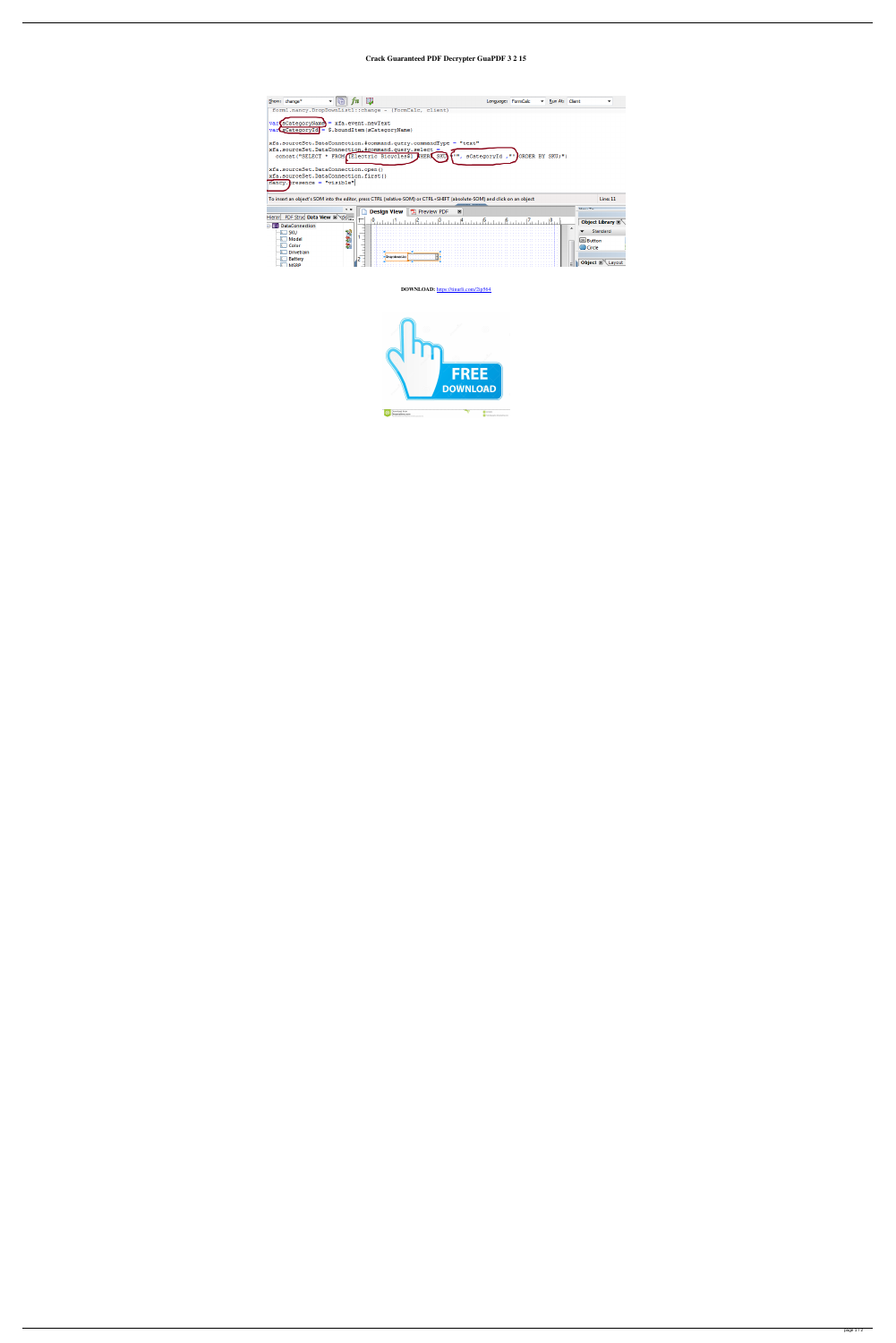## **Crack Guaranteed PDF Decrypter GuaPDF 3 2 15**

| Show: change*                                                                                                            |                     |                    |                       |                         | Language: FormCalc |  | ▼ | Run At: Client |                  |                               |  |
|--------------------------------------------------------------------------------------------------------------------------|---------------------|--------------------|-----------------------|-------------------------|--------------------|--|---|----------------|------------------|-------------------------------|--|
| form1.nancy.DropDownList1::change - (FormCalc, client)                                                                   |                     |                    |                       |                         |                    |  |   |                |                  |                               |  |
| $s$ CategoryName = $xfa$ .event.newText<br>var<br>$var$ SCategoryId = \$.boundItem (sCategoryName)                       |                     |                    |                       |                         |                    |  |   |                |                  |                               |  |
| xfa.sourceSet.DataConnection.#command.query.commandType = "text"                                                         |                     |                    |                       |                         |                    |  |   |                |                  |                               |  |
| xfa.sourceSet.DataConnection.#command.query.select =                                                                     |                     |                    |                       |                         |                    |  |   |                |                  |                               |  |
| concat ("SELECT * FROM [Electric Bicycles\$] WHERE SKU<br>sCategoryId, "' ORDER BY SKU; ")                               |                     |                    |                       |                         |                    |  |   |                |                  |                               |  |
| xfa.sourceSet.DataConnection.open()                                                                                      |                     |                    |                       |                         |                    |  |   |                |                  |                               |  |
| xfa.sourceSet.DataConnection.first()                                                                                     |                     |                    |                       |                         |                    |  |   |                |                  |                               |  |
| nancy.presence = "visible"                                                                                               |                     |                    |                       |                         |                    |  |   |                |                  |                               |  |
| To insert an object's SOM into the editor, press CTRL (relative-SOM) or CTRL+SHIFT (absolute-SOM) and click on an object |                     |                    |                       |                         |                    |  |   |                |                  | Line: 11                      |  |
|                                                                                                                          | $\mathbf{v} \times$ | <b>Design View</b> | <b>TA</b> Preview PDF | $\overline{\mathbf{x}}$ |                    |  |   |                | <b>Linux Tax</b> |                               |  |
| PDF Struc Data View E de<br>Hierar                                                                                       |                     |                    |                       |                         |                    |  |   |                |                  |                               |  |
| <b>DataConnection</b>                                                                                                    |                     |                    |                       |                         |                    |  |   |                |                  | Object Library ⊠              |  |
| <b>SKU</b><br>$\frac{1}{2}$                                                                                              |                     |                    |                       |                         |                    |  |   |                |                  | Standard                      |  |
| Model                                                                                                                    | 端包式                 |                    |                       |                         |                    |  |   |                |                  | <b>OK Button</b>              |  |
| Color                                                                                                                    |                     |                    |                       |                         |                    |  |   |                |                  | Circle                        |  |
| <b>Drivetrain</b>                                                                                                        |                     |                    |                       |                         |                    |  |   |                |                  |                               |  |
| <b>Battery</b>                                                                                                           |                     | Drop-down List     |                       |                         |                    |  |   |                |                  | Object $\mathbb{Z}$<br>Lavout |  |
| $\overline{1}$ MSRP                                                                                                      |                     |                    |                       |                         |                    |  |   |                |                  |                               |  |

**DOWNLOAD:** <https://tinurli.com/2ip564>